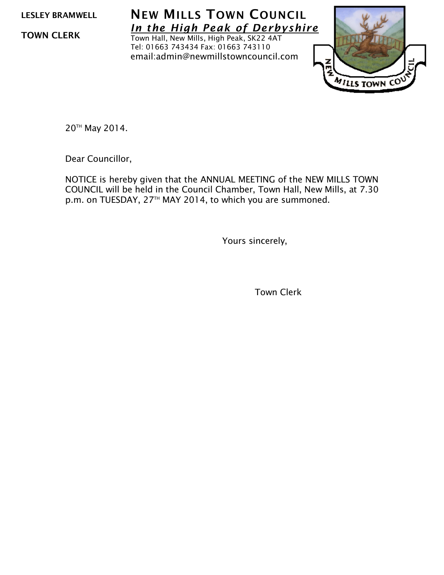LESLEY BRAMWELL

TOWN CLERK

NEW MILLS TOWN COUNCIL *In the High Peak of Derbyshire*

Town Hall, New Mills, High Peak, SK22 4AT Tel: 01663 743434 Fax: 01663 743110 email:admin@newmillstowncouncil.com



20TH May 2014.

Dear Councillor,

NOTICE is hereby given that the ANNUAL MEETING of the NEW MILLS TOWN COUNCIL will be held in the Council Chamber, Town Hall, New Mills, at 7.30 p.m. on TUESDAY, 27<sup>TH</sup> MAY 2014, to which you are summoned.

Yours sincerely,

Town Clerk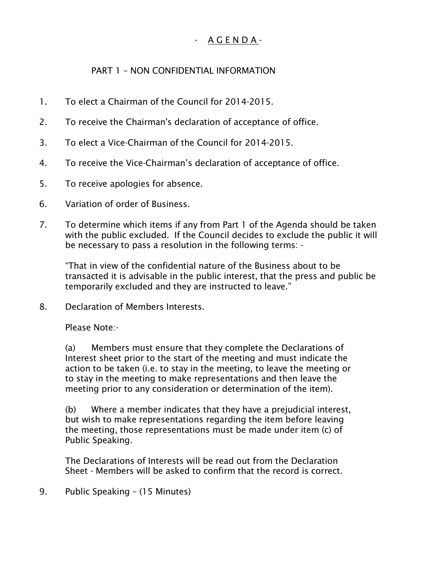## - A G E N D A -

## PART 1 – NON CONFIDENTIAL INFORMATION

- 1. To elect a Chairman of the Council for 2014-2015.
- 2. To receive the Chairman's declaration of acceptance of office.
- 3. To elect a Vice-Chairman of the Council for 2014-2015.
- 4. To receive the Vice-Chairman's declaration of acceptance of office.
- 5. To receive apologies for absence.
- 6. Variation of order of Business.
- 7. To determine which items if any from Part 1 of the Agenda should be taken with the public excluded. If the Council decides to exclude the public it will be necessary to pass a resolution in the following terms: -

"That in view of the confidential nature of the Business about to be transacted it is advisable in the public interest, that the press and public be temporarily excluded and they are instructed to leave."

8. Declaration of Members Interests.

Please Note:-

(a) Members must ensure that they complete the Declarations of Interest sheet prior to the start of the meeting and must indicate the action to be taken (i.e. to stay in the meeting, to leave the meeting or to stay in the meeting to make representations and then leave the meeting prior to any consideration or determination of the item).

(b) Where a member indicates that they have a prejudicial interest, but wish to make representations regarding the item before leaving the meeting, those representations must be made under item (c) of Public Speaking.

The Declarations of Interests will be read out from the Declaration Sheet - Members will be asked to confirm that the record is correct.

9. Public Speaking – (15 Minutes)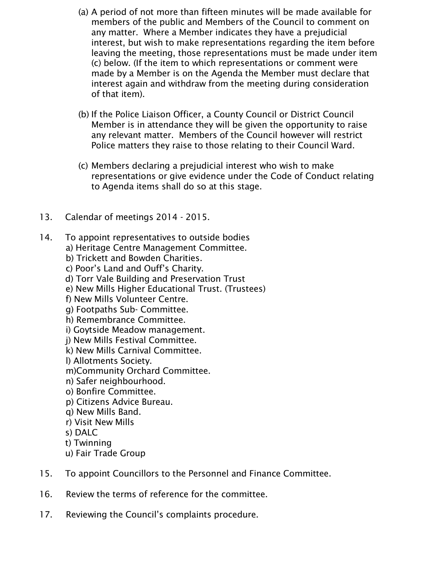- (a) A period of not more than fifteen minutes will be made available for members of the public and Members of the Council to comment on any matter. Where a Member indicates they have a prejudicial interest, but wish to make representations regarding the item before leaving the meeting, those representations must be made under item (c) below. (If the item to which representations or comment were made by a Member is on the Agenda the Member must declare that interest again and withdraw from the meeting during consideration of that item).
- (b) If the Police Liaison Officer, a County Council or District Council Member is in attendance they will be given the opportunity to raise any relevant matter. Members of the Council however will restrict Police matters they raise to those relating to their Council Ward.
- (c) Members declaring a prejudicial interest who wish to make representations or give evidence under the Code of Conduct relating to Agenda items shall do so at this stage.
- 13. Calendar of meetings 2014 2015.
- 14. To appoint representatives to outside bodies
	- a) Heritage Centre Management Committee.
		- b) Trickett and Bowden Charities.
		- c) Poor's Land and Ouff's Charity.
		- d) Torr Vale Building and Preservation Trust
		- e) New Mills Higher Educational Trust. (Trustees)
		- f) New Mills Volunteer Centre.
		- g) Footpaths Sub- Committee.
		- h) Remembrance Committee.
		- i) Goytside Meadow management.
		- j) New Mills Festival Committee.
		- k) New Mills Carnival Committee.
		- l) Allotments Society.
		- m)Community Orchard Committee.
		- n) Safer neighbourhood.
		- o) Bonfire Committee.
		- p) Citizens Advice Bureau.
		- q) New Mills Band.
		- r) Visit New Mills
		- s) DALC
		- t) Twinning
		- u) Fair Trade Group
- 15. To appoint Councillors to the Personnel and Finance Committee.
- 16. Review the terms of reference for the committee.
- 17. Reviewing the Council's complaints procedure.